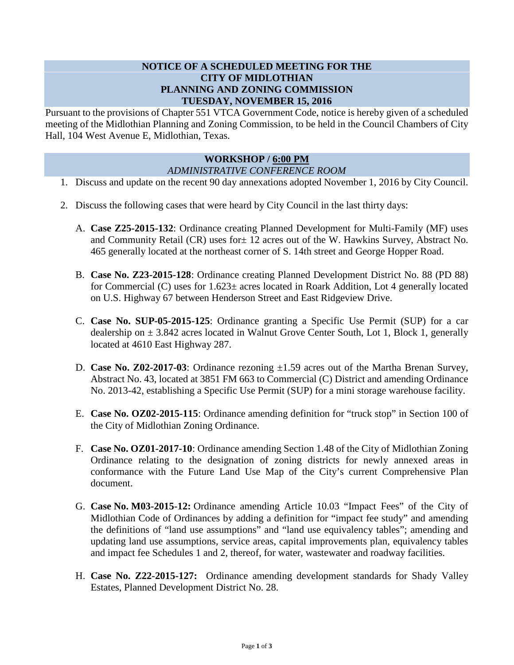## **NOTICE OF A SCHEDULED MEETING FOR THE CITY OF MIDLOTHIAN PLANNING AND ZONING COMMISSION TUESDAY, NOVEMBER 15, 2016**

Pursuant to the provisions of Chapter 551 VTCA Government Code, notice is hereby given of a scheduled meeting of the Midlothian Planning and Zoning Commission, to be held in the Council Chambers of City Hall, 104 West Avenue E, Midlothian, Texas.

## **WORKSHOP / 6:00 PM** *ADMINISTRATIVE CONFERENCE ROOM*

- 1. Discuss and update on the recent 90 day annexations adopted November 1, 2016 by City Council.
- 2. Discuss the following cases that were heard by City Council in the last thirty days:
	- A. **Case Z25-2015-132**: Ordinance creating Planned Development for Multi-Family (MF) uses and Community Retail (CR) uses for± 12 acres out of the W. Hawkins Survey, Abstract No. 465 generally located at the northeast corner of S. 14th street and George Hopper Road.
	- B. **Case No. Z23-2015-128**: Ordinance creating Planned Development District No. 88 (PD 88) for Commercial (C) uses for 1.623± acres located in Roark Addition, Lot 4 generally located on U.S. Highway 67 between Henderson Street and East Ridgeview Drive.
	- C. **Case No. SUP-05-2015-125**: Ordinance granting a Specific Use Permit (SUP) for a car dealership on  $\pm$  3.842 acres located in Walnut Grove Center South, Lot 1, Block 1, generally located at 4610 East Highway 287.
	- D. **Case No. Z02-2017-03**: Ordinance rezoning  $\pm 1.59$  acres out of the Martha Brenan Survey, Abstract No. 43, located at 3851 FM 663 to Commercial (C) District and amending Ordinance No. 2013-42, establishing a Specific Use Permit (SUP) for a mini storage warehouse facility.
	- E. **Case No. OZ02-2015-115**: Ordinance amending definition for "truck stop" in Section 100 of the City of Midlothian Zoning Ordinance.
	- F. **Case No. OZ01-2017-10**: Ordinance amending Section 1.48 of the City of Midlothian Zoning Ordinance relating to the designation of zoning districts for newly annexed areas in conformance with the Future Land Use Map of the City's current Comprehensive Plan document.
	- G. **Case No. M03-2015-12:** Ordinance amending Article 10.03 "Impact Fees" of the City of Midlothian Code of Ordinances by adding a definition for "impact fee study" and amending the definitions of "land use assumptions" and "land use equivalency tables"; amending and updating land use assumptions, service areas, capital improvements plan, equivalency tables and impact fee Schedules 1 and 2, thereof, for water, wastewater and roadway facilities.
	- H. **Case No. Z22-2015-127:** Ordinance amending development standards for Shady Valley Estates, Planned Development District No. 28.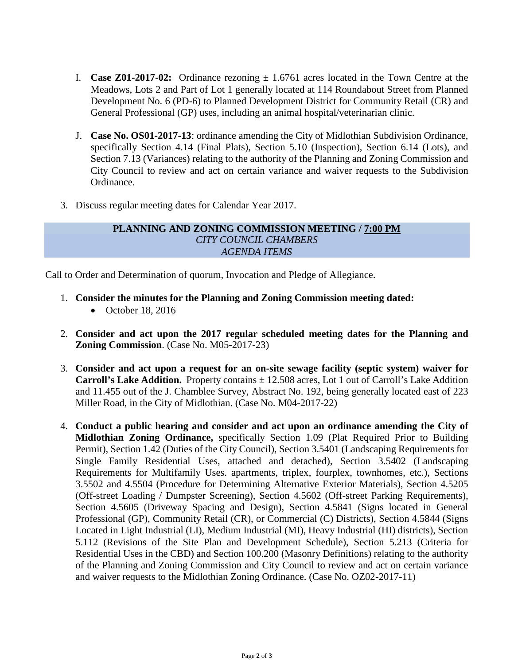- I. **Case Z01-2017-02:** Ordinance rezoning  $\pm 1.6761$  acres located in the Town Centre at the Meadows, Lots 2 and Part of Lot 1 generally located at 114 Roundabout Street from Planned Development No. 6 (PD-6) to Planned Development District for Community Retail (CR) and General Professional (GP) uses, including an animal hospital/veterinarian clinic.
- J. **Case No. OS01-2017-13**: ordinance amending the City of Midlothian Subdivision Ordinance, specifically Section 4.14 (Final Plats), Section 5.10 (Inspection), Section 6.14 (Lots), and Section 7.13 (Variances) relating to the authority of the Planning and Zoning Commission and City Council to review and act on certain variance and waiver requests to the Subdivision Ordinance.
- 3. Discuss regular meeting dates for Calendar Year 2017.

## **PLANNING AND ZONING COMMISSION MEETING / 7:00 PM** *CITY COUNCIL CHAMBERS AGENDA ITEMS*

Call to Order and Determination of quorum, Invocation and Pledge of Allegiance.

- 1. **Consider the minutes for the Planning and Zoning Commission meeting dated:** 
	- October 18, 2016
- 2. **Consider and act upon the 2017 regular scheduled meeting dates for the Planning and Zoning Commission**. (Case No. M05-2017-23)
- 3. **Consider and act upon a request for an on-site sewage facility (septic system) waiver for Carroll's Lake Addition.** Property contains  $\pm$  12.508 acres, Lot 1 out of Carroll's Lake Addition and 11.455 out of the J. Chamblee Survey, Abstract No. 192, being generally located east of 223 Miller Road, in the City of Midlothian. (Case No. M04-2017-22)
- 4. **Conduct a public hearing and consider and act upon an ordinance amending the City of Midlothian Zoning Ordinance,** specifically Section 1.09 (Plat Required Prior to Building Permit), Section 1.42 (Duties of the City Council), Section 3.5401 (Landscaping Requirements for Single Family Residential Uses, attached and detached), Section 3.5402 (Landscaping Requirements for Multifamily Uses. apartments, triplex, fourplex, townhomes, etc.), Sections 3.5502 and 4.5504 (Procedure for Determining Alternative Exterior Materials), Section 4.5205 (Off-street Loading / Dumpster Screening), Section 4.5602 (Off-street Parking Requirements), Section 4.5605 (Driveway Spacing and Design), Section 4.5841 (Signs located in General Professional (GP), Community Retail (CR), or Commercial (C) Districts), Section 4.5844 (Signs Located in Light Industrial (LI), Medium Industrial (MI), Heavy Industrial (HI) districts), Section 5.112 (Revisions of the Site Plan and Development Schedule), Section 5.213 (Criteria for Residential Uses in the CBD) and Section 100.200 (Masonry Definitions) relating to the authority of the Planning and Zoning Commission and City Council to review and act on certain variance and waiver requests to the Midlothian Zoning Ordinance. (Case No. OZ02-2017-11)